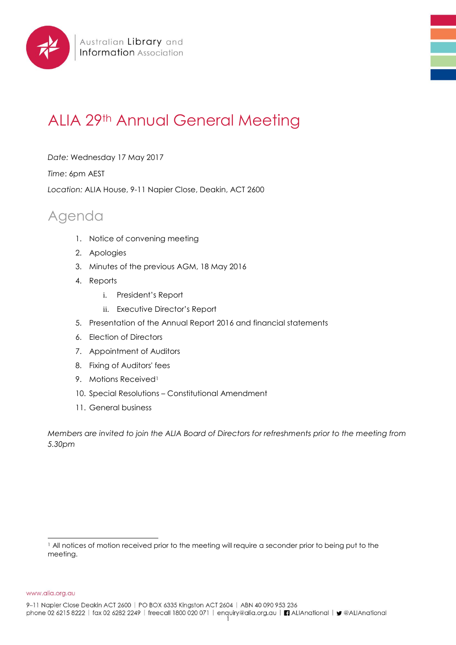

# ALIA 29th Annual General Meeting

*Date:* Wednesday 17 May 2017

*Time*: 6pm AEST

*Location:* ALIA House, 9-11 Napier Close, Deakin, ACT 2600

## Agenda

- 1. Notice of convening meeting
- 2. Apologies
- 3. Minutes of the previous AGM, 18 May 2016
- 4. Reports
	- i. President's Report
	- ii. Executive Director's Report
- 5. Presentation of the Annual Report 2016 and financial statements
- 6. Election of Directors
- 7. Appointment of Auditors
- 8. Fixing of Auditors' fees
- 9. Motions Received<sup>1</sup>
- 10. Special Resolutions Constitutional Amendment
- 11. General business

*Members are invited to join the ALIA Board of Directors for refreshments prior to the meeting from 5.30pm*

www.alia.org.au

9-11 Napier Close Deakin ACT 2600 | PO BOX 6335 Kingston ACT 2604 | ABN 40 090 953 236

l <sup>1</sup> All notices of motion received prior to the meeting will require a seconder prior to being put to the meeting.